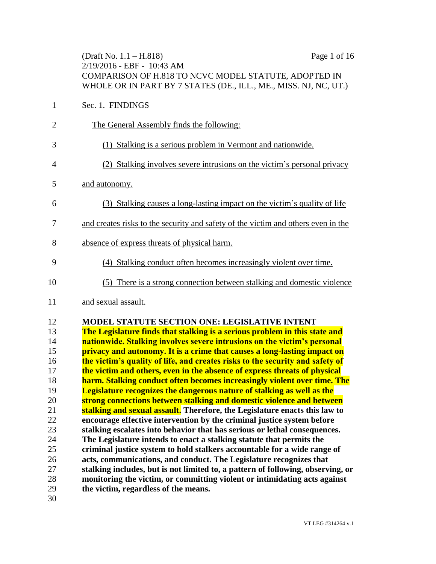|                | (Draft No. $1.1 - H.818$ )<br>Page 1 of 16<br>2/19/2016 - EBF - 10:43 AM<br>COMPARISON OF H.818 TO NCVC MODEL STATUTE, ADOPTED IN<br>WHOLE OR IN PART BY 7 STATES (DE., ILL., ME., MISS. NJ, NC, UT.) |
|----------------|-------------------------------------------------------------------------------------------------------------------------------------------------------------------------------------------------------|
| $\mathbf{1}$   | Sec. 1. FINDINGS                                                                                                                                                                                      |
| $\overline{2}$ | The General Assembly finds the following:                                                                                                                                                             |
| 3              | (1) Stalking is a serious problem in Vermont and nationwide.                                                                                                                                          |
| 4              | (2) Stalking involves severe intrusions on the victim's personal privacy                                                                                                                              |
| 5              | and autonomy.                                                                                                                                                                                         |
| 6              | (3) Stalking causes a long-lasting impact on the victim's quality of life                                                                                                                             |
| 7              | and creates risks to the security and safety of the victim and others even in the                                                                                                                     |
| 8              | absence of express threats of physical harm.                                                                                                                                                          |
| 9              | (4) Stalking conduct often becomes increasingly violent over time.                                                                                                                                    |
| 10             | (5) There is a strong connection between stalking and domestic violence                                                                                                                               |
| 11             | and sexual assault.                                                                                                                                                                                   |
| 12<br>13       | <b>MODEL STATUTE SECTION ONE: LEGISLATIVE INTENT</b>                                                                                                                                                  |
| 14             | The Legislature finds that stalking is a serious problem in this state and<br>nationwide. Stalking involves severe intrusions on the victim's personal                                                |
| 15             | privacy and autonomy. It is a crime that causes a long-lasting impact on                                                                                                                              |
| 16             | the victim's quality of life, and creates risks to the security and safety of                                                                                                                         |
| 17             | the victim and others, even in the absence of express threats of physical                                                                                                                             |
| 18             | harm. Stalking conduct often becomes increasingly violent over time. The                                                                                                                              |
| 19             | Legislature recognizes the dangerous nature of stalking as well as the                                                                                                                                |
| 20             | strong connections between stalking and domestic violence and between                                                                                                                                 |
| 21             | stalking and sexual assault. Therefore, the Legislature enacts this law to                                                                                                                            |
| 22             | encourage effective intervention by the criminal justice system before                                                                                                                                |

- **stalking escalates into behavior that has serious or lethal consequences.**
- **The Legislature intends to enact a stalking statute that permits the criminal justice system to hold stalkers accountable for a wide range of acts, communications, and conduct. The Legislature recognizes that stalking includes, but is not limited to, a pattern of following, observing, or monitoring the victim, or committing violent or intimidating acts against**
- **the victim, regardless of the means.**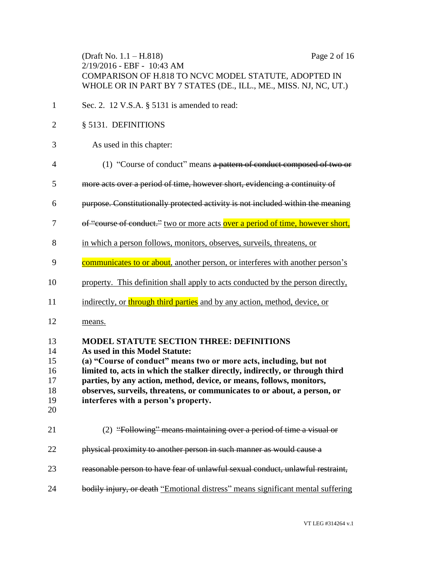| (Draft No. $1.1 - H.818$ )                                       | Page 2 of 16 |
|------------------------------------------------------------------|--------------|
| $2/19/2016$ - EBF - 10:43 AM                                     |              |
| COMPARISON OF H.818 TO NCVC MODEL STATUTE, ADOPTED IN            |              |
| WHOLE OR IN PART BY 7 STATES (DE., ILL., ME., MISS. NJ, NC, UT.) |              |

- Sec. 2. 12 V.S.A. § 5131 is amended to read:
- § 5131. DEFINITIONS

#### As used in this chapter:

- (1) "Course of conduct" means a pattern of conduct composed of two or
- more acts over a period of time, however short, evidencing a continuity of
- purpose. Constitutionally protected activity is not included within the meaning
- 7 of "course of conduct." two or more acts over a period of time, however short,
- in which a person follows, monitors, observes, surveils, threatens, or
- 9 communicates to or about, another person, or interferes with another person's
- property. This definition shall apply to acts conducted by the person directly,
- 11 indirectly, or through third parties and by any action, method, device, or
- means.

| 13<br>14<br>15<br>16<br>17<br>18<br>19<br>20 | <b>MODEL STATUTE SECTION THREE: DEFINITIONS</b><br>As used in this Model Statute:<br>(a) "Course of conduct" means two or more acts, including, but not<br>limited to, acts in which the stalker directly, indirectly, or through third<br>parties, by any action, method, device, or means, follows, monitors,<br>observes, surveils, threatens, or communicates to or about, a person, or<br>interferes with a person's property. |
|----------------------------------------------|-------------------------------------------------------------------------------------------------------------------------------------------------------------------------------------------------------------------------------------------------------------------------------------------------------------------------------------------------------------------------------------------------------------------------------------|
| 21                                           | (2) "Following" means maintaining over a period of time a visual or                                                                                                                                                                                                                                                                                                                                                                 |
| 22                                           | physical proximity to another person in such manner as would cause a                                                                                                                                                                                                                                                                                                                                                                |
| 23                                           | reasonable person to have fear of unlawful sexual conduct, unlawful restraint                                                                                                                                                                                                                                                                                                                                                       |
| 24                                           | <del>dily injury, or death</del> "Emotional distress" means significant mental suffering                                                                                                                                                                                                                                                                                                                                            |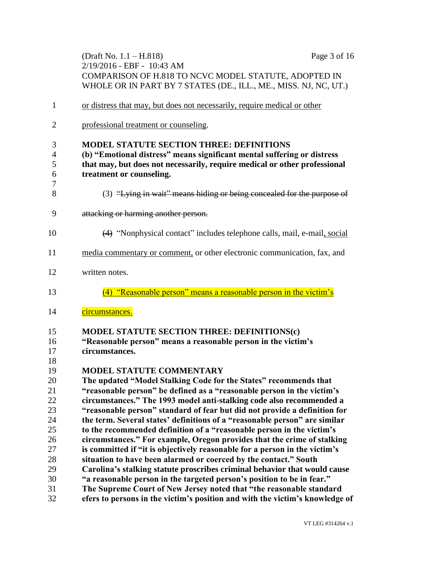|              | (Draft No. 1.1 – H.818)<br>Page 3 of 16                                                                                   |
|--------------|---------------------------------------------------------------------------------------------------------------------------|
|              | 2/19/2016 - EBF - 10:43 AM                                                                                                |
|              | COMPARISON OF H.818 TO NCVC MODEL STATUTE, ADOPTED IN<br>WHOLE OR IN PART BY 7 STATES (DE., ILL., ME., MISS. NJ, NC, UT.) |
|              |                                                                                                                           |
| $\mathbf{1}$ | or distress that may, but does not necessarily, require medical or other                                                  |
| 2            | professional treatment or counseling.                                                                                     |
| 3            | <b>MODEL STATUTE SECTION THREE: DEFINITIONS</b>                                                                           |
| 4            | (b) "Emotional distress" means significant mental suffering or distress                                                   |
| 5            | that may, but does not necessarily, require medical or other professional                                                 |
| 6            | treatment or counseling.                                                                                                  |
| 7<br>8       | (3) "Lying in wait" means hiding or being concealed for the purpose of                                                    |
| 9            | attacking or harming another person.                                                                                      |
| 10           | (4) "Nonphysical contact" includes telephone calls, mail, e-mail, social                                                  |
| 11           | media commentary or comment, or other electronic communication, fax, and                                                  |
| 12           | written notes.                                                                                                            |
| 13           | (4) "Reasonable person" means a reasonable person in the victim's                                                         |
| 14           | circumstances.                                                                                                            |
| 15           | <b>MODEL STATUTE SECTION THREE: DEFINITIONS(c)</b>                                                                        |
| 16           | "Reasonable person" means a reasonable person in the victim's                                                             |
| 17           | circumstances.                                                                                                            |
| 18           |                                                                                                                           |
| 19           | MODEL STATUTE COMMENTARY                                                                                                  |
| 20           | The updated "Model Stalking Code for the States" recommends that                                                          |
| 21           | "reasonable person" be defined as a "reasonable person in the victim's                                                    |
| 22           | circumstances." The 1993 model anti-stalking code also recommended a                                                      |
| 23           | "reasonable person" standard of fear but did not provide a definition for                                                 |
| 24           | the term. Several states' definitions of a "reasonable person" are similar                                                |
| 25           | to the recommended definition of a "reasonable person in the victim's                                                     |
| 26           | circumstances." For example, Oregon provides that the crime of stalking                                                   |
| 27           | is committed if "it is objectively reasonable for a person in the victim's                                                |
| 28           | situation to have been alarmed or coerced by the contact." South                                                          |
| 29           | Carolina's stalking statute proscribes criminal behavior that would cause                                                 |
| 30           | "a reasonable person in the targeted person's position to be in fear."                                                    |
| 31           | The Supreme Court of New Jersey noted that "the reasonable standard                                                       |
| 32           | efers to persons in the victim's position and with the victim's knowledge of                                              |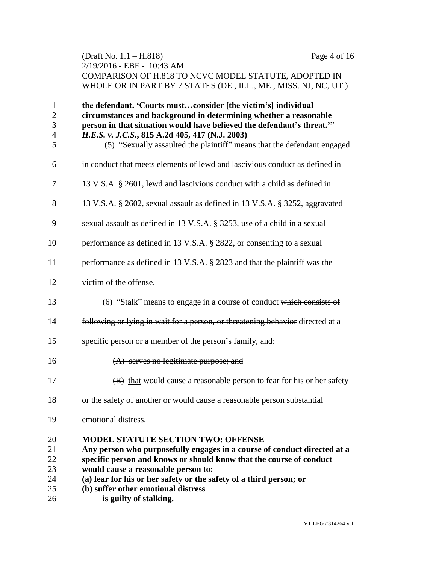| (Draft No. 1.1 – H.818)                                          | Page 4 of 16 |
|------------------------------------------------------------------|--------------|
| 2/19/2016 - EBF - 10:43 AM                                       |              |
| COMPARISON OF H.818 TO NCVC MODEL STATUTE, ADOPTED IN            |              |
| WHOLE OR IN PART BY 7 STATES (DE., ILL., ME., MISS. NJ, NC, UT.) |              |

| $\mathbf{1}$<br>$\overline{2}$<br>3<br>$\overline{4}$ | the defendant. 'Courts mustconsider [the victim's] individual<br>circumstances and background in determining whether a reasonable<br>person in that situation would have believed the defendant's threat."<br>H.E.S. v. J.C.S., 815 A.2d 405, 417 (N.J. 2003) |
|-------------------------------------------------------|---------------------------------------------------------------------------------------------------------------------------------------------------------------------------------------------------------------------------------------------------------------|
| 5<br>6                                                | (5) "Sexually assaulted the plaintiff" means that the defendant engaged<br>in conduct that meets elements of lewd and lascivious conduct as defined in                                                                                                        |
|                                                       |                                                                                                                                                                                                                                                               |
| 7                                                     | 13 V.S.A. § 2601, lewd and lascivious conduct with a child as defined in                                                                                                                                                                                      |
| 8                                                     | 13 V.S.A. § 2602, sexual assault as defined in 13 V.S.A. § 3252, aggravated                                                                                                                                                                                   |
| 9                                                     | sexual assault as defined in 13 V.S.A. § 3253, use of a child in a sexual                                                                                                                                                                                     |
| 10                                                    | performance as defined in 13 V.S.A. § 2822, or consenting to a sexual                                                                                                                                                                                         |
| 11                                                    | performance as defined in 13 V.S.A. § 2823 and that the plaintiff was the                                                                                                                                                                                     |
| 12                                                    | victim of the offense.                                                                                                                                                                                                                                        |
| 13                                                    | (6) "Stalk" means to engage in a course of conduct which consists of                                                                                                                                                                                          |
| 14                                                    | following or lying in wait for a person, or threatening behavior directed at a                                                                                                                                                                                |
| 15                                                    | specific person or a member of the person's family, and:                                                                                                                                                                                                      |
| 16                                                    | $(A)$ serves no legitimate purpose; and                                                                                                                                                                                                                       |
| 17                                                    | (B) that would cause a reasonable person to fear for his or her safety                                                                                                                                                                                        |
| 18                                                    | or the safety of another or would cause a reasonable person substantial                                                                                                                                                                                       |
| 19                                                    | emotional distress.                                                                                                                                                                                                                                           |
| 20                                                    | <b>MODEL STATUTE SECTION TWO: OFFENSE</b>                                                                                                                                                                                                                     |
| 21                                                    | Any person who purposefully engages in a course of conduct directed at a                                                                                                                                                                                      |
| 22                                                    | specific person and knows or should know that the course of conduct                                                                                                                                                                                           |
| 23                                                    | would cause a reasonable person to:                                                                                                                                                                                                                           |
| 24                                                    | (a) fear for his or her safety or the safety of a third person; or                                                                                                                                                                                            |
| 25                                                    | (b) suffer other emotional distress                                                                                                                                                                                                                           |

26 **is guilty of stalking.**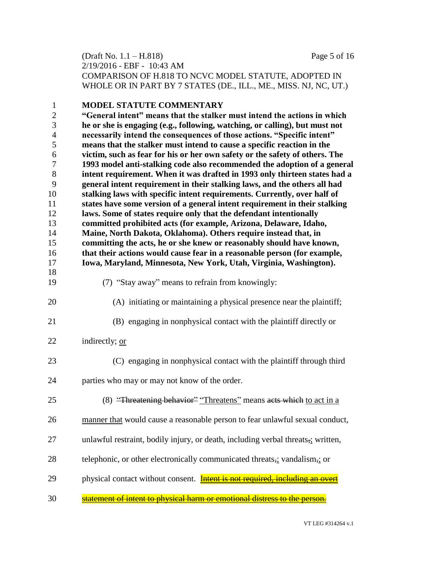(Draft No. 1.1 – H.818) Page 5 of 16 2/19/2016 - EBF - 10:43 AM COMPARISON OF H.818 TO NCVC MODEL STATUTE, ADOPTED IN WHOLE OR IN PART BY 7 STATES (DE., ILL., ME., MISS. NJ, NC, UT.)

| $\mathbf{1}$   | <b>MODEL STATUTE COMMENTARY</b>                                                     |
|----------------|-------------------------------------------------------------------------------------|
| $\sqrt{2}$     | "General intent" means that the stalker must intend the actions in which            |
| 3              | he or she is engaging (e.g., following, watching, or calling), but must not         |
| $\overline{4}$ | necessarily intend the consequences of those actions. "Specific intent"             |
| 5              | means that the stalker must intend to cause a specific reaction in the              |
| 6              | victim, such as fear for his or her own safety or the safety of others. The         |
| $\overline{7}$ | 1993 model anti-stalking code also recommended the adoption of a general            |
| $8\,$          | intent requirement. When it was drafted in 1993 only thirteen states had a          |
| 9              | general intent requirement in their stalking laws, and the others all had           |
| 10             | stalking laws with specific intent requirements. Currently, over half of            |
| 11             | states have some version of a general intent requirement in their stalking          |
| 12             | laws. Some of states require only that the defendant intentionally                  |
| 13             | committed prohibited acts (for example, Arizona, Delaware, Idaho,                   |
| 14             | Maine, North Dakota, Oklahoma). Others require instead that, in                     |
| 15             | committing the acts, he or she knew or reasonably should have known,                |
| 16             | that their actions would cause fear in a reasonable person (for example,            |
| 17             | Iowa, Maryland, Minnesota, New York, Utah, Virginia, Washington).                   |
| 18<br>19       | (7) "Stay away" means to refrain from knowingly:                                    |
|                |                                                                                     |
| 20             | (A) initiating or maintaining a physical presence near the plaintiff;               |
| 21             | (B) engaging in nonphysical contact with the plaintiff directly or                  |
| 22             | indirectly; or                                                                      |
| 23             | (C) engaging in nonphysical contact with the plaintiff through third                |
| 24             | parties who may or may not know of the order.                                       |
| 25             | (8) "Threatening behavior" "Threatens" means acts which to act in a                 |
| 26             | manner that would cause a reasonable person to fear unlawful sexual conduct,        |
| 27             | unlawful restraint, bodily injury, or death, including verbal threats,; written,    |
| 28             | telephonic, or other electronically communicated threats,: vandalism,: or           |
| 29             | physical contact without consent. <b>Intent is not required, including an overt</b> |
| 30             | statement of intent to physical harm or emotional distress to the person.           |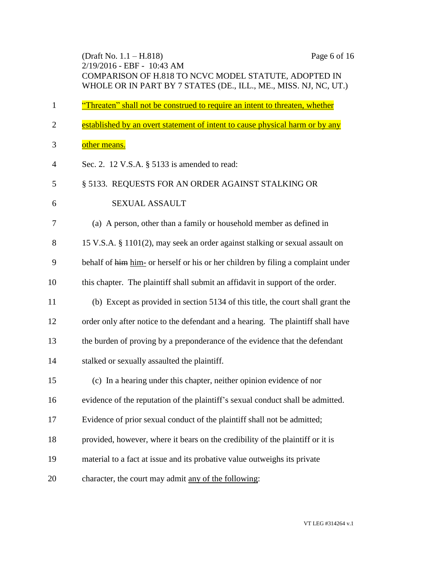(Draft No. 1.1 – H.818) Page 6 of 16 2/19/2016 - EBF - 10:43 AM COMPARISON OF H.818 TO NCVC MODEL STATUTE, ADOPTED IN WHOLE OR IN PART BY 7 STATES (DE., ILL., ME., MISS. NJ, NC, UT.) <sup>"</sup>Threaten" shall not be construed to require an intent to threaten, whether 2 established by an overt statement of intent to cause physical harm or by any other means. Sec. 2. 12 V.S.A. § 5133 is amended to read: § 5133. REQUESTS FOR AN ORDER AGAINST STALKING OR 6 SEXUAL ASSAULT (a) A person, other than a family or household member as defined in 15 V.S.A. § 1101(2), may seek an order against stalking or sexual assault on behalf of him him- or herself or his or her children by filing a complaint under this chapter. The plaintiff shall submit an affidavit in support of the order. (b) Except as provided in section 5134 of this title, the court shall grant the order only after notice to the defendant and a hearing. The plaintiff shall have the burden of proving by a preponderance of the evidence that the defendant stalked or sexually assaulted the plaintiff. (c) In a hearing under this chapter, neither opinion evidence of nor evidence of the reputation of the plaintiff's sexual conduct shall be admitted. Evidence of prior sexual conduct of the plaintiff shall not be admitted; provided, however, where it bears on the credibility of the plaintiff or it is material to a fact at issue and its probative value outweighs its private character, the court may admit any of the following: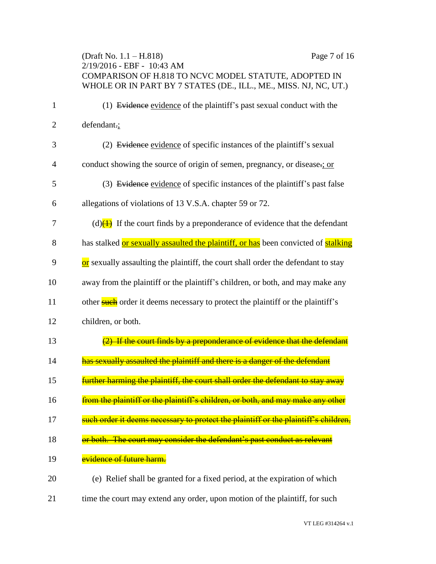(Draft No. 1.1 – H.818) Page 7 of 16 2/19/2016 - EBF - 10:43 AM COMPARISON OF H.818 TO NCVC MODEL STATUTE, ADOPTED IN WHOLE OR IN PART BY 7 STATES (DE., ILL., ME., MISS. NJ, NC, UT.) 1 (1) Evidence evidence of the plaintiff's past sexual conduct with the 2 defendant.; 3 (2) Evidence evidence of specific instances of the plaintiff's sexual 4 conduct showing the source of origin of semen, pregnancy, or disease.; or 5 (3) Evidence evidence of specific instances of the plaintiff's past false 6 allegations of violations of 13 V.S.A. chapter 59 or 72. 7 (d) $\left(1\right)$  If the court finds by a preponderance of evidence that the defendant 8 has stalked or sexually assaulted the plaintiff, or has been convicted of stalking 9 or sexually assaulting the plaintiff, the court shall order the defendant to stay 10 away from the plaintiff or the plaintiff's children, or both, and may make any 11 other such order it deems necessary to protect the plaintiff or the plaintiff's 12 children, or both. 13 (2) If the court finds by a preponderance of evidence that the defendant 14 has sexually assaulted the plaintiff and there is a danger of the defendant 15 **Further harming the plaintiff, the court shall order the defendant to stay away** 16 **from the plaintiff or the plaintiff's children, or both, and may make any other** 17 such order it deems necessary to protect the plaintiff or the plaintiff's children, 18 **or both. The court may consider the defendant's past conduct as relevant** 19 **evidence of future harm.** 20 (e) Relief shall be granted for a fixed period, at the expiration of which

21 time the court may extend any order, upon motion of the plaintiff, for such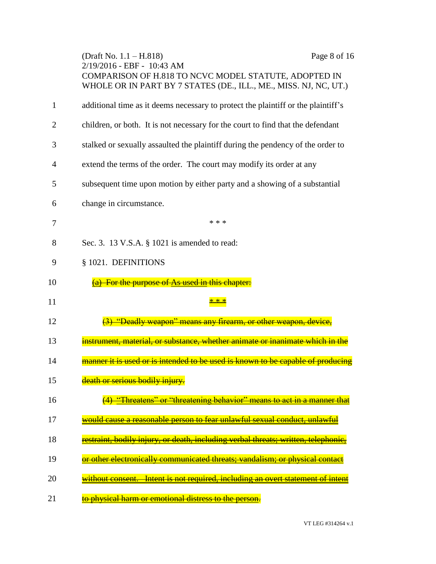|    | (Draft No. $1.1 - H.818$ )<br>2/19/2016 - EBF - 10:43 AM<br>COMPARISON OF H.818 TO NCVC MODEL STATUTE, ADOPTED IN<br>WHOLE OR IN PART BY 7 STATES (DE., ILL., ME., MISS. NJ, NC, UT.) | Page 8 of 16 |
|----|---------------------------------------------------------------------------------------------------------------------------------------------------------------------------------------|--------------|
| 1  | additional time as it deems necessary to protect the plaintiff or the plaintiff's                                                                                                     |              |
| 2  | children, or both. It is not necessary for the court to find that the defendant                                                                                                       |              |
| 3  | stalked or sexually assaulted the plaintiff during the pendency of the order to                                                                                                       |              |
| 4  | extend the terms of the order. The court may modify its order at any                                                                                                                  |              |
| 5  | subsequent time upon motion by either party and a showing of a substantial                                                                                                            |              |
| 6  | change in circumstance.                                                                                                                                                               |              |
| 7  | * * *                                                                                                                                                                                 |              |
| 8  | Sec. 3. 13 V.S.A. § 1021 is amended to read:                                                                                                                                          |              |
| 9  | § 1021. DEFINITIONS                                                                                                                                                                   |              |
| 10 | For the purpose of As used in this chapter:                                                                                                                                           |              |
| 11 |                                                                                                                                                                                       |              |
| 12 | <u> "Deadly weapon" means any firearm, or other weapon,</u>                                                                                                                           |              |
| 13 | material, or substance, whether animate or inanimate which                                                                                                                            |              |
| 14 | manner it is used or is intended to be used is known to be capable of producing                                                                                                       |              |
| 15 | death or serious bodily injury.                                                                                                                                                       |              |
| 16 | <del>(4) "Threatens" or "threatening behavior" means to act in a manner that</del>                                                                                                    |              |
| 17 | <u>would cause a reasonable person to fear unlawful sexual conduct, unlawful</u>                                                                                                      |              |
| 18 | <u>estraint, bodily injury, or death, including verbal threats; written, telephonic, </u>                                                                                             |              |
| 19 | or other electronically communicated threats; vandalism; or physical contact                                                                                                          |              |
| 20 | without consent. Intent is not required, including an overt statement of intent                                                                                                       |              |
| 21 | to physical harm or emotional distress to the person.                                                                                                                                 |              |

VT LEG #314264 v.1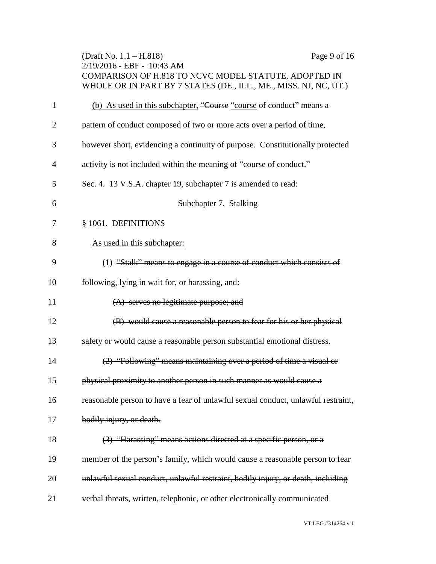|                | Page 9 of 16<br>(Draft No. $1.1 - H.818$ )<br>2/19/2016 - EBF - 10:43 AM<br>COMPARISON OF H.818 TO NCVC MODEL STATUTE, ADOPTED IN<br>WHOLE OR IN PART BY 7 STATES (DE., ILL., ME., MISS. NJ, NC, UT.) |
|----------------|-------------------------------------------------------------------------------------------------------------------------------------------------------------------------------------------------------|
| $\mathbf{1}$   | (b) As used in this subchapter, "Course "course of conduct" means a                                                                                                                                   |
| $\overline{2}$ | pattern of conduct composed of two or more acts over a period of time,                                                                                                                                |
| 3              | however short, evidencing a continuity of purpose. Constitutionally protected                                                                                                                         |
| $\overline{4}$ | activity is not included within the meaning of "course of conduct."                                                                                                                                   |
| 5              | Sec. 4. 13 V.S.A. chapter 19, subchapter 7 is amended to read:                                                                                                                                        |
| 6              | Subchapter 7. Stalking                                                                                                                                                                                |
| 7              | § 1061. DEFINITIONS                                                                                                                                                                                   |
| 8              | As used in this subchapter:                                                                                                                                                                           |
| 9              | (1) "Stalk" means to engage in a course of conduct which consists of                                                                                                                                  |
| 10             | following, lying in wait for, or harassing, and:                                                                                                                                                      |
| 11             | $(A)$ serves no legitimate purpose; and                                                                                                                                                               |
| 12             | (B) would cause a reasonable person to fear for his or her physical                                                                                                                                   |
| 13             | safety or would cause a reasonable person substantial emotional distress.                                                                                                                             |
| 14             | (2) "Following" means maintaining over a period of time a visual or                                                                                                                                   |
| 15             | physical proximity to another person in such manner as would cause a                                                                                                                                  |
| 16             | reasonable person to have a fear of unlawful sexual conduct, unlawful restraint,                                                                                                                      |
| 17             | bodily injury, or death.                                                                                                                                                                              |
| 18             | (3) "Harassing" means actions directed at a specific person, or a                                                                                                                                     |
| 19             | member of the person's family, which would cause a reasonable person to fear                                                                                                                          |
| 20             | unlawful sexual conduct, unlawful restraint, bodily injury, or death, including                                                                                                                       |
| 21             | verbal threats, written, telephonic, or other electronically communicated                                                                                                                             |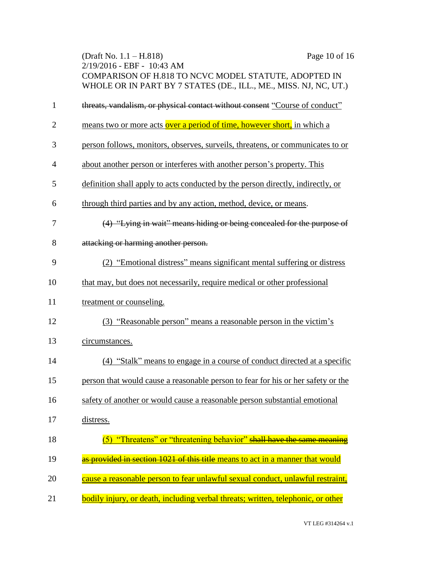|                | (Draft No. $1.1 - H.818$ )<br>2/19/2016 - EBF - 10:43 AM<br>COMPARISON OF H.818 TO NCVC MODEL STATUTE, ADOPTED IN<br>WHOLE OR IN PART BY 7 STATES (DE., ILL., ME., MISS. NJ, NC, UT.) | Page 10 of 16 |
|----------------|---------------------------------------------------------------------------------------------------------------------------------------------------------------------------------------|---------------|
| $\mathbf{1}$   | threats, vandalism, or physical contact without consent "Course of conduct"                                                                                                           |               |
| $\overline{2}$ | means two or more acts over a period of time, however short, in which a                                                                                                               |               |
| 3              | person follows, monitors, observes, surveils, threatens, or communicates to or                                                                                                        |               |
| 4              | about another person or interferes with another person's property. This                                                                                                               |               |
| 5              | definition shall apply to acts conducted by the person directly, indirectly, or                                                                                                       |               |
| 6              | through third parties and by any action, method, device, or means.                                                                                                                    |               |
| 7              | (4) "Lying in wait" means hiding or being concealed for the purpose of                                                                                                                |               |
| 8              | attacking or harming another person.                                                                                                                                                  |               |
| 9              | (2) "Emotional distress" means significant mental suffering or distress                                                                                                               |               |
| 10             | that may, but does not necessarily, require medical or other professional                                                                                                             |               |
| 11             | treatment or counseling.                                                                                                                                                              |               |
| 12             | (3) "Reasonable person" means a reasonable person in the victim's                                                                                                                     |               |
| 13             | circumstances.                                                                                                                                                                        |               |
| 14             | (4) "Stalk" means to engage in a course of conduct directed at a specific                                                                                                             |               |
| 15             | person that would cause a reasonable person to fear for his or her safety or the                                                                                                      |               |
| 16             | safety of another or would cause a reasonable person substantial emotional                                                                                                            |               |
| 17             | distress.                                                                                                                                                                             |               |
| 18             | (5) "Threatens" or "threatening behavior" shall have the same meaning                                                                                                                 |               |
| 19             | as provided in section 1021 of this title means to act in a manner that would                                                                                                         |               |
| 20             | cause a reasonable person to fear unlawful sexual conduct, unlawful restraint,                                                                                                        |               |
| 21             | bodily injury, or death, including verbal threats; written, telephonic, or other                                                                                                      |               |

VT LEG #314264 v.1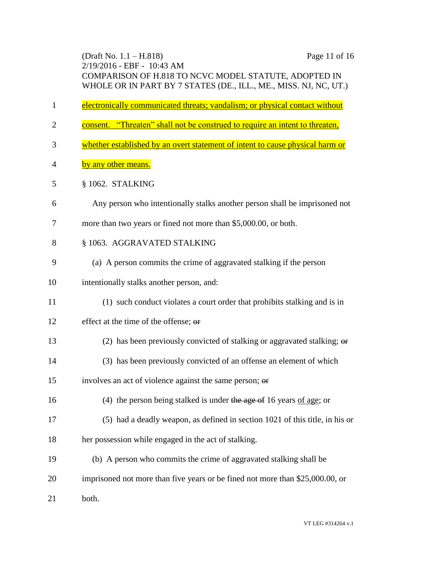(Draft No. 1.1 – H.818) Page 11 of 16 2/19/2016 - EBF - 10:43 AM COMPARISON OF H.818 TO NCVC MODEL STATUTE, ADOPTED IN WHOLE OR IN PART BY 7 STATES (DE., ILL., ME., MISS. NJ, NC, UT.)

- electronically communicated threats; vandalism; or physical contact without
- 2 consent. "Threaten" shall not be construed to require an intent to threaten,
- whether established by an overt statement of intent to cause physical harm or
- 4 by any other means.
- § 1062. STALKING
- Any person who intentionally stalks another person shall be imprisoned not
- more than two years or fined not more than \$5,000.00, or both.
- 8 § 1063. AGGRAVATED STALKING
- (a) A person commits the crime of aggravated stalking if the person
- intentionally stalks another person, and:
- (1) such conduct violates a court order that prohibits stalking and is in
- 12 effect at the time of the offense:  $\theta$
- (2) has been previously convicted of stalking or aggravated stalking; or
- (3) has been previously convicted of an offense an element of which
- involves an act of violence against the same person; or
- (4) the person being stalked is under the age of 16 years of age; or
- (5) had a deadly weapon, as defined in section 1021 of this title, in his or
- her possession while engaged in the act of stalking.
- (b) A person who commits the crime of aggravated stalking shall be
- imprisoned not more than five years or be fined not more than \$25,000.00, or
- both.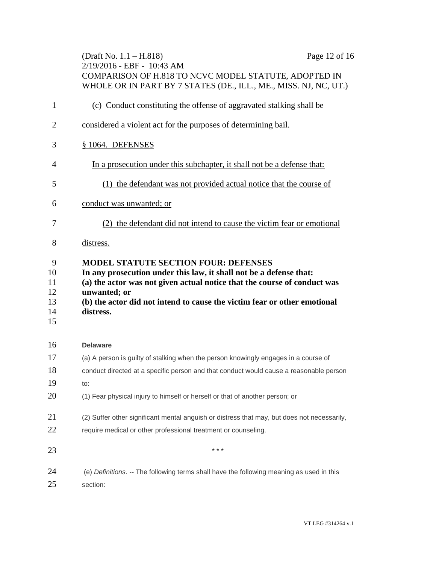|                                       | (Draft No. $1.1 - H.818$ )<br>Page 12 of 16<br>$2/19/2016$ - EBF - 10:43 AM<br>COMPARISON OF H.818 TO NCVC MODEL STATUTE, ADOPTED IN<br>WHOLE OR IN PART BY 7 STATES (DE., ILL., ME., MISS. NJ, NC, UT.)                                                                                               |
|---------------------------------------|--------------------------------------------------------------------------------------------------------------------------------------------------------------------------------------------------------------------------------------------------------------------------------------------------------|
| $\mathbf{1}$                          | (c) Conduct constituting the offense of aggravated stalking shall be                                                                                                                                                                                                                                   |
| $\overline{2}$                        | considered a violent act for the purposes of determining bail.                                                                                                                                                                                                                                         |
| 3                                     | § 1064. DEFENSES                                                                                                                                                                                                                                                                                       |
| 4                                     | In a prosecution under this subchapter, it shall not be a defense that:                                                                                                                                                                                                                                |
| 5                                     | (1) the defendant was not provided actual notice that the course of                                                                                                                                                                                                                                    |
| 6                                     | conduct was unwanted; or                                                                                                                                                                                                                                                                               |
| 7                                     | (2) the defendant did not intend to cause the victim fear or emotional                                                                                                                                                                                                                                 |
| 8                                     | distress.                                                                                                                                                                                                                                                                                              |
| 9<br>10<br>11<br>12<br>13<br>14<br>15 | <b>MODEL STATUTE SECTION FOUR: DEFENSES</b><br>In any prosecution under this law, it shall not be a defense that:<br>(a) the actor was not given actual notice that the course of conduct was<br>unwanted; or<br>(b) the actor did not intend to cause the victim fear or other emotional<br>distress. |
| 16                                    | <b>Delaware</b>                                                                                                                                                                                                                                                                                        |
| 17                                    | (a) A person is guilty of stalking when the person knowingly engages in a course of                                                                                                                                                                                                                    |
| 18                                    | conduct directed at a specific person and that conduct would cause a reasonable person                                                                                                                                                                                                                 |
| 19                                    | to:                                                                                                                                                                                                                                                                                                    |
| 20                                    | (1) Fear physical injury to himself or herself or that of another person; or                                                                                                                                                                                                                           |
| 21<br>22                              | (2) Suffer other significant mental anguish or distress that may, but does not necessarily,<br>require medical or other professional treatment or counseling.                                                                                                                                          |
| 23                                    | * * *                                                                                                                                                                                                                                                                                                  |
| 24                                    | (e) Definitions. -- The following terms shall have the following meaning as used in this                                                                                                                                                                                                               |

section: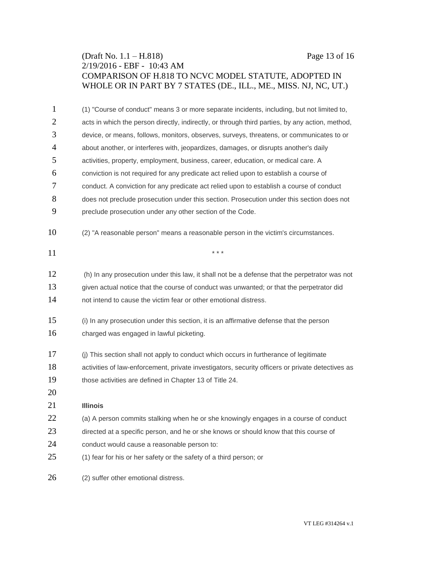# (Draft No. 1.1 – H.818) Page 13 of 16 2/19/2016 - EBF - 10:43 AM COMPARISON OF H.818 TO NCVC MODEL STATUTE, ADOPTED IN WHOLE OR IN PART BY 7 STATES (DE., ILL., ME., MISS. NJ, NC, UT.)

| 1              | (1) "Course of conduct" means 3 or more separate incidents, including, but not limited to,       |
|----------------|--------------------------------------------------------------------------------------------------|
| $\overline{c}$ | acts in which the person directly, indirectly, or through third parties, by any action, method,  |
| 3              | device, or means, follows, monitors, observes, surveys, threatens, or communicates to or         |
| $\overline{4}$ | about another, or interferes with, jeopardizes, damages, or disrupts another's daily             |
| 5              | activities, property, employment, business, career, education, or medical care. A                |
| 6              | conviction is not required for any predicate act relied upon to establish a course of            |
| 7              | conduct. A conviction for any predicate act relied upon to establish a course of conduct         |
| 8              | does not preclude prosecution under this section. Prosecution under this section does not        |
| 9              | preclude prosecution under any other section of the Code.                                        |
| 10             | (2) "A reasonable person" means a reasonable person in the victim's circumstances.               |
| 11             | $* * *$                                                                                          |
| 12             | (h) In any prosecution under this law, it shall not be a defense that the perpetrator was not    |
| 13             | given actual notice that the course of conduct was unwanted; or that the perpetrator did         |
| 14             | not intend to cause the victim fear or other emotional distress.                                 |
| 15             | (i) In any prosecution under this section, it is an affirmative defense that the person          |
| 16             | charged was engaged in lawful picketing.                                                         |
| 17             | (j) This section shall not apply to conduct which occurs in furtherance of legitimate            |
| 18             | activities of law-enforcement, private investigators, security officers or private detectives as |
| 19             | those activities are defined in Chapter 13 of Title 24.                                          |
| 20             |                                                                                                  |
| 21             | <b>Illinois</b>                                                                                  |
| 22             | (a) A person commits stalking when he or she knowingly engages in a course of conduct            |
| 23             | directed at a specific person, and he or she knows or should know that this course of            |
| 24             | conduct would cause a reasonable person to:                                                      |
| 25             | (1) fear for his or her safety or the safety of a third person; or                               |
| 26             | (2) suffer other emotional distress.                                                             |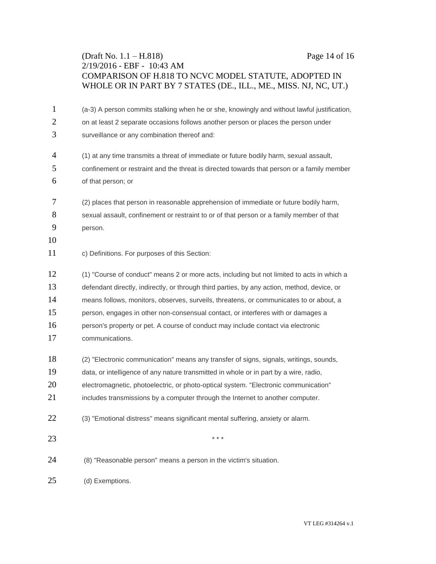# (Draft No. 1.1 – H.818) Page 14 of 16 2/19/2016 - EBF - 10:43 AM COMPARISON OF H.818 TO NCVC MODEL STATUTE, ADOPTED IN WHOLE OR IN PART BY 7 STATES (DE., ILL., ME., MISS. NJ, NC, UT.)

| $\mathbf{1}$   | (a-3) A person commits stalking when he or she, knowingly and without lawful justification, |
|----------------|---------------------------------------------------------------------------------------------|
| 2              | on at least 2 separate occasions follows another person or places the person under          |
| 3              | surveillance or any combination thereof and:                                                |
| $\overline{4}$ | (1) at any time transmits a threat of immediate or future bodily harm, sexual assault,      |
| 5              | confinement or restraint and the threat is directed towards that person or a family member  |
| 6              | of that person; or                                                                          |
| 7              | (2) places that person in reasonable apprehension of immediate or future bodily harm,       |
| 8              | sexual assault, confinement or restraint to or of that person or a family member of that    |
| 9              | person.                                                                                     |
| 10             |                                                                                             |
| 11             | c) Definitions. For purposes of this Section:                                               |
| 12             | (1) "Course of conduct" means 2 or more acts, including but not limited to acts in which a  |
| 13             | defendant directly, indirectly, or through third parties, by any action, method, device, or |
| 14             | means follows, monitors, observes, surveils, threatens, or communicates to or about, a      |
| 15             | person, engages in other non-consensual contact, or interferes with or damages a            |
| 16             | person's property or pet. A course of conduct may include contact via electronic            |
| 17             | communications.                                                                             |
| 18             | (2) "Electronic communication" means any transfer of signs, signals, writings, sounds,      |
| 19             | data, or intelligence of any nature transmitted in whole or in part by a wire, radio,       |
| 20             | electromagnetic, photoelectric, or photo-optical system. "Electronic communication"         |
| 21             | includes transmissions by a computer through the Internet to another computer.              |
| 22             | (3) "Emotional distress" means significant mental suffering, anxiety or alarm.              |
| 23             | * * *                                                                                       |
| 24             | (8) "Reasonable person" means a person in the victim's situation.                           |
| 25             | (d) Exemptions.                                                                             |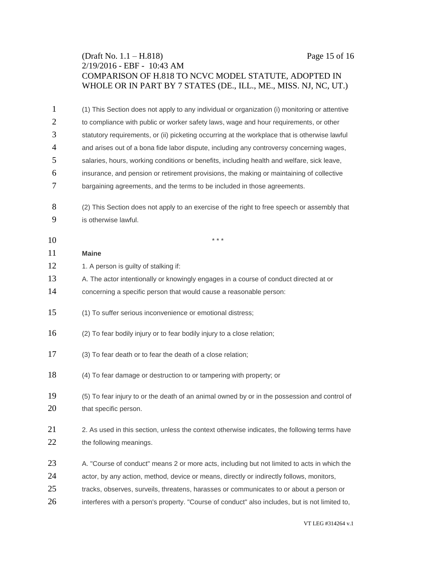# (Draft No. 1.1 – H.818) Page 15 of 16 2/19/2016 - EBF - 10:43 AM COMPARISON OF H.818 TO NCVC MODEL STATUTE, ADOPTED IN WHOLE OR IN PART BY 7 STATES (DE., ILL., ME., MISS. NJ, NC, UT.)

| 1              | (1) This Section does not apply to any individual or organization (i) monitoring or attentive  |
|----------------|------------------------------------------------------------------------------------------------|
| $\overline{2}$ | to compliance with public or worker safety laws, wage and hour requirements, or other          |
| 3              | statutory requirements, or (ii) picketing occurring at the workplace that is otherwise lawful  |
| 4              | and arises out of a bona fide labor dispute, including any controversy concerning wages,       |
| 5              | salaries, hours, working conditions or benefits, including health and welfare, sick leave,     |
| 6              | insurance, and pension or retirement provisions, the making or maintaining of collective       |
| 7              | bargaining agreements, and the terms to be included in those agreements.                       |
| 8              | (2) This Section does not apply to an exercise of the right to free speech or assembly that    |
| 9              | is otherwise lawful.                                                                           |
| 10             | * * *                                                                                          |
| 11             | <b>Maine</b>                                                                                   |
| 12             | 1. A person is guilty of stalking if:                                                          |
| 13             | A. The actor intentionally or knowingly engages in a course of conduct directed at or          |
| 14             | concerning a specific person that would cause a reasonable person:                             |
| 15             | (1) To suffer serious inconvenience or emotional distress;                                     |
| 16             | (2) To fear bodily injury or to fear bodily injury to a close relation;                        |
| 17             | (3) To fear death or to fear the death of a close relation;                                    |
| 18             | (4) To fear damage or destruction to or tampering with property; or                            |
| 19             | (5) To fear injury to or the death of an animal owned by or in the possession and control of   |
| 20             | that specific person.                                                                          |
|                |                                                                                                |
| 21             | 2. As used in this section, unless the context otherwise indicates, the following terms have   |
| 22             | the following meanings.                                                                        |
| 23             | A. "Course of conduct" means 2 or more acts, including but not limited to acts in which the    |
| 24             | actor, by any action, method, device or means, directly or indirectly follows, monitors,       |
| 25             | tracks, observes, surveils, threatens, harasses or communicates to or about a person or        |
| 26             | interferes with a person's property. "Course of conduct" also includes, but is not limited to, |